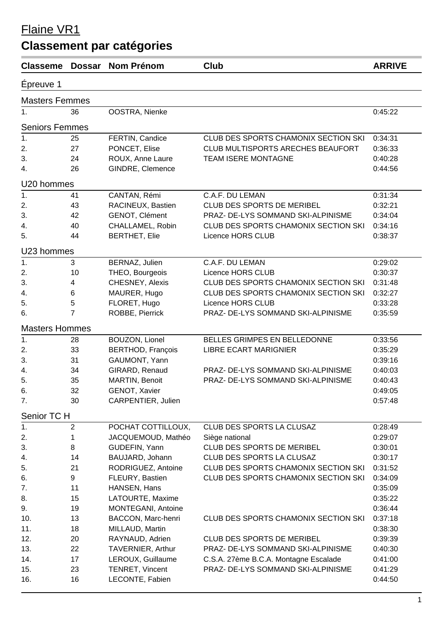## Flaine VR1

## **Classement par catégories**

| <b>Classeme</b>       | Dossar         | <b>Nom Prénom</b>        | Club                                  | <b>ARRIVE</b> |  |  |  |
|-----------------------|----------------|--------------------------|---------------------------------------|---------------|--|--|--|
| Epreuve 1             |                |                          |                                       |               |  |  |  |
| <b>Masters Femmes</b> |                |                          |                                       |               |  |  |  |
| 1.                    | 36             | OOSTRA, Nienke           |                                       | 0:45:22       |  |  |  |
| <b>Seniors Femmes</b> |                |                          |                                       |               |  |  |  |
| $\overline{1}$ .      | 25             | FERTIN, Candice          | CLUB DES SPORTS CHAMONIX SECTION SKI  | 0:34:31       |  |  |  |
| 2.                    | 27             | PONCET, Elise            | CLUB MULTISPORTS ARECHES BEAUFORT     | 0:36:33       |  |  |  |
| 3.                    | 24             | ROUX, Anne Laure         | TEAM ISERE MONTAGNE                   | 0:40:28       |  |  |  |
| 4.                    | 26             | GINDRE, Clemence         |                                       | 0:44:56       |  |  |  |
| U20 hommes            |                |                          |                                       |               |  |  |  |
| 1.                    | 41             | CANTAN, Rémi             | C.A.F. DU LEMAN                       | 0:31:34       |  |  |  |
| 2.                    | 43             | RACINEUX, Bastien        | CLUB DES SPORTS DE MERIBEL            | 0:32:21       |  |  |  |
| 3.                    | 42             | GENOT, Clément           | PRAZ- DE-LYS SOMMAND SKI-ALPINISME    | 0:34:04       |  |  |  |
| 4.                    | 40             | CHALLAMEL, Robin         | CLUB DES SPORTS CHAMONIX SECTION SKI  | 0:34:16       |  |  |  |
| 5.                    | 44             | <b>BERTHET, Elie</b>     | Licence HORS CLUB                     | 0:38:37       |  |  |  |
| U23 hommes            |                |                          |                                       |               |  |  |  |
| 1.                    | 3              | BERNAZ, Julien           | C.A.F. DU LEMAN                       | 0:29:02       |  |  |  |
| 2.                    | 10             | THEO, Bourgeois          | Licence HORS CLUB                     | 0:30:37       |  |  |  |
| 3.                    | 4              | CHESNEY, Alexis          | CLUB DES SPORTS CHAMONIX SECTION SKI  | 0:31:48       |  |  |  |
| 4.                    | $\,6$          | MAURER, Hugo             | CLUB DES SPORTS CHAMONIX SECTION SKI  | 0:32:27       |  |  |  |
| 5.                    | 5              | FLORET, Hugo             | Licence HORS CLUB                     | 0:33:28       |  |  |  |
| 6.                    | $\overline{7}$ | ROBBE, Pierrick          | PRAZ- DE-LYS SOMMAND SKI-ALPINISME    | 0:35:59       |  |  |  |
| <b>Masters Hommes</b> |                |                          |                                       |               |  |  |  |
| 1.                    | 28             | <b>BOUZON, Lionel</b>    | BELLES GRIMPES EN BELLEDONNE          | 0:33:56       |  |  |  |
| 2.                    | 33             | <b>BERTHOD, François</b> | <b>LIBRE ECART MARIGNIER</b>          | 0:35:29       |  |  |  |
| 3.                    | 31             | GAUMONT, Yann            |                                       | 0:39:16       |  |  |  |
| 4.                    | 34             | GIRARD, Renaud           | PRAZ- DE-LYS SOMMAND SKI-ALPINISME    | 0:40:03       |  |  |  |
| 5.                    | 35             | MARTIN, Benoit           | PRAZ- DE-LYS SOMMAND SKI-ALPINISME    | 0:40:43       |  |  |  |
| 6.                    | 32             | GENOT, Xavier            |                                       | 0:49:05       |  |  |  |
| 7.                    | 30             | CARPENTIER, Julien       |                                       | 0:57:48       |  |  |  |
| Senior TC H           |                |                          |                                       |               |  |  |  |
| 1.                    | $\overline{2}$ | POCHAT COTTILLOUX,       | CLUB DES SPORTS LA CLUSAZ             | 0:28:49       |  |  |  |
| 2.                    | 1              | JACQUEMOUD, Mathéo       | Siège national                        | 0:29:07       |  |  |  |
| 3.                    | 8              | GUDEFIN, Yann            | CLUB DES SPORTS DE MERIBEL            | 0:30:01       |  |  |  |
| 4.                    | 14             | BAUJARD, Johann          | CLUB DES SPORTS LA CLUSAZ             | 0:30:17       |  |  |  |
| 5.                    | 21             | RODRIGUEZ, Antoine       | CLUB DES SPORTS CHAMONIX SECTION SKI  | 0:31:52       |  |  |  |
| 6.                    | 9              | FLEURY, Bastien          | CLUB DES SPORTS CHAMONIX SECTION SKI  | 0:34:09       |  |  |  |
| 7.                    | 11             | HANSEN, Hans             |                                       | 0:35:09       |  |  |  |
| 8.                    | 15             | LATOURTE, Maxime         |                                       | 0:35:22       |  |  |  |
| 9.                    | 19             | MONTEGANI, Antoine       |                                       | 0:36:44       |  |  |  |
| 10.                   | 13             | BACCON, Marc-henri       | CLUB DES SPORTS CHAMONIX SECTION SKI  | 0:37:18       |  |  |  |
| 11.                   | 18             | MILLAUD, Martin          |                                       | 0:38:30       |  |  |  |
| 12.                   | 20             | RAYNAUD, Adrien          | CLUB DES SPORTS DE MERIBEL            | 0:39:39       |  |  |  |
| 13.                   | 22             | TAVERNIER, Arthur        | PRAZ- DE-LYS SOMMAND SKI-ALPINISME    | 0:40:30       |  |  |  |
| 14.                   | 17             | LEROUX, Guillaume        | C.S.A. 27ème B.C.A. Montagne Escalade | 0:41:00       |  |  |  |
| 15.                   | 23             | TENRET, Vincent          | PRAZ- DE-LYS SOMMAND SKI-ALPINISME    | 0:41:29       |  |  |  |
| 16.                   | 16             | LECONTE, Fabien          |                                       | 0:44:50       |  |  |  |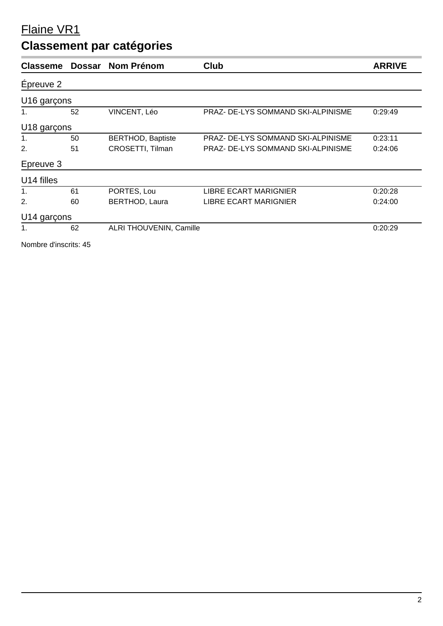#### Flaine VR1

## **Classement par catégories**

| <b>Classeme</b> | <b>Dossar</b> | <b>Nom Prénom</b>              | Club                               | <b>ARRIVE</b> |
|-----------------|---------------|--------------------------------|------------------------------------|---------------|
| Épreuve 2       |               |                                |                                    |               |
| U16 garçons     |               |                                |                                    |               |
| 1.              | 52            | VINCENT, Léo                   | PRAZ- DE-LYS SOMMAND SKI-ALPINISME | 0:29:49       |
| U18 garçons     |               |                                |                                    |               |
| 1.              | 50            | <b>BERTHOD, Baptiste</b>       | PRAZ- DE-LYS SOMMAND SKI-ALPINISME | 0:23:11       |
| 2.              | 51            | CROSETTI, Tilman               | PRAZ- DE-LYS SOMMAND SKI-ALPINISME | 0:24:06       |
| Epreuve 3       |               |                                |                                    |               |
| U14 filles      |               |                                |                                    |               |
| 1.              | 61            | PORTES, Lou                    | <b>LIBRE ECART MARIGNIER</b>       | 0:20:28       |
| 2.              | 60            | <b>BERTHOD, Laura</b>          | <b>LIBRE ECART MARIGNIER</b>       | 0:24:00       |
| U14 garçons     |               |                                |                                    |               |
| 1.              | 62            | <b>ALRI THOUVENIN, Camille</b> |                                    | 0:20:29       |
|                 |               |                                |                                    |               |

Nombre d'inscrits: 45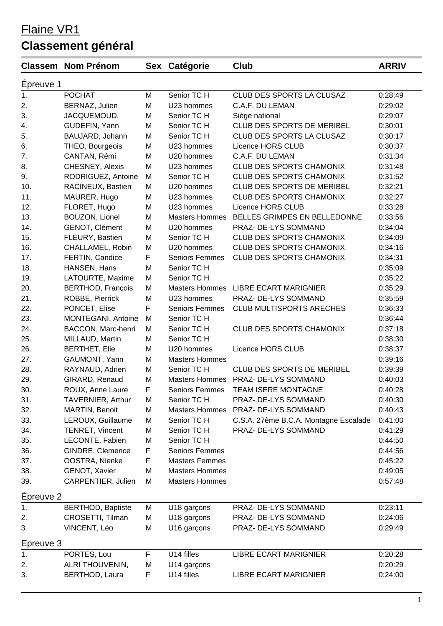## Flaine VR1

# **Classement général**

|           | <b>Classem Nom Prénom</b> |   | Sex Catégorie         | Club                                  | <b>ARRIV</b> |
|-----------|---------------------------|---|-----------------------|---------------------------------------|--------------|
| Epreuve 1 |                           |   |                       |                                       |              |
| 1.        | <b>POCHAT</b>             | M | Senior TC H           | CLUB DES SPORTS LA CLUSAZ             | 0:28:49      |
| 2.        | BERNAZ, Julien            | M | U23 hommes            | C.A.F. DU LEMAN                       | 0:29:02      |
| 3.        | JACQUEMOUD,               | M | Senior TC H           | Siège national                        | 0:29:07      |
| 4.        | GUDEFIN, Yann             | M | Senior TC H           | CLUB DES SPORTS DE MERIBEL            | 0:30:01      |
| 5.        | BAUJARD, Johann           | M | Senior TC H           | CLUB DES SPORTS LA CLUSAZ             | 0:30:17      |
| 6.        | THEO, Bourgeois           | M | U23 hommes            | Licence HORS CLUB                     | 0:30:37      |
| 7.        | CANTAN, Rémi              | M | U20 hommes            | C.A.F. DU LEMAN                       | 0:31:34      |
| 8.        | CHESNEY, Alexis           | M | U23 hommes            | <b>CLUB DES SPORTS CHAMONIX</b>       | 0:31:48      |
| 9.        | RODRIGUEZ, Antoine        | M | Senior TC H           | <b>CLUB DES SPORTS CHAMONIX</b>       | 0:31:52      |
| 10.       | RACINEUX, Bastien         | M | U20 hommes            | CLUB DES SPORTS DE MERIBEL            | 0:32:21      |
| 11.       | MAURER, Hugo              | M | U23 hommes            | <b>CLUB DES SPORTS CHAMONIX</b>       | 0:32:27      |
| 12.       | FLORET, Hugo              | M | U23 hommes            | Licence HORS CLUB                     | 0:33:28      |
| 13.       | BOUZON, Lionel            | M | <b>Masters Hommes</b> | BELLES GRIMPES EN BELLEDONNE          | 0:33:56      |
| 14.       | GENOT, Clément            | M | U20 hommes            | PRAZ- DE-LYS SOMMAND                  | 0:34:04      |
| 15.       | FLEURY, Bastien           | M | Senior TC H           | <b>CLUB DES SPORTS CHAMONIX</b>       | 0:34:09      |
| 16.       | CHALLAMEL, Robin          | M | U20 hommes            | <b>CLUB DES SPORTS CHAMONIX</b>       | 0:34:16      |
| 17.       | FERTIN, Candice           | F | <b>Seniors Femmes</b> | <b>CLUB DES SPORTS CHAMONIX</b>       | 0:34:31      |
| 18.       | HANSEN, Hans              | M | Senior TC H           |                                       | 0:35:09      |
| 19.       | LATOURTE, Maxime          | M | Senior TC H           |                                       | 0:35:22      |
| 20.       | <b>BERTHOD, François</b>  | M | <b>Masters Hommes</b> | <b>LIBRE ECART MARIGNIER</b>          | 0:35:29      |
| 21.       | ROBBE, Pierrick           | M | U23 hommes            | PRAZ- DE-LYS SOMMAND                  | 0:35:59      |
| 22.       | PONCET, Elise             | F | <b>Seniors Femmes</b> | <b>CLUB MULTISPORTS ARECHES</b>       | 0:36:33      |
| 23.       | MONTEGANI, Antoine        | M | Senior TC H           |                                       | 0:36:44      |
| 24.       | BACCON, Marc-henri        | M | Senior TC H           | <b>CLUB DES SPORTS CHAMONIX</b>       | 0:37:18      |
| 25.       | MILLAUD, Martin           | M | Senior TC H           |                                       | 0:38:30      |
| 26.       | <b>BERTHET, Elie</b>      | M | U20 hommes            | Licence HORS CLUB                     | 0:38:37      |
| 27.       | GAUMONT, Yann             | M | <b>Masters Hommes</b> |                                       | 0:39:16      |
| 28.       | RAYNAUD, Adrien           | M | Senior TC H           | CLUB DES SPORTS DE MERIBEL            | 0:39:39      |
| 29.       | GIRARD, Renaud            | M | <b>Masters Hommes</b> | PRAZ- DE-LYS SOMMAND                  | 0:40:03      |
| 30.       | ROUX, Anne Laure          | F | <b>Seniors Femmes</b> | TEAM ISERE MONTAGNE                   | 0:40:28      |
| 31.       | TAVERNIER, Arthur         | M | Senior TC H           | PRAZ- DE-LYS SOMMAND                  | 0:40:30      |
| 32.       | MARTIN, Benoit            | M | <b>Masters Hommes</b> | PRAZ- DE-LYS SOMMAND                  | 0:40:43      |
| 33.       | LEROUX, Guillaume         | M | Senior TC H           | C.S.A. 27ème B.C.A. Montagne Escalade | 0:41:00      |
| 34.       | TENRET, Vincent           | M | Senior TC H           | PRAZ- DE-LYS SOMMAND                  | 0:41:29      |
| 35.       | LECONTE, Fabien           | M | Senior TC H           |                                       | 0:44:50      |
| 36.       | GINDRE, Clemence          | F | <b>Seniors Femmes</b> |                                       | 0:44:56      |
| 37.       | OOSTRA, Nienke            | F | <b>Masters Femmes</b> |                                       | 0:45:22      |
| 38.       | <b>GENOT, Xavier</b>      | M | <b>Masters Hommes</b> |                                       | 0:49:05      |
| 39.       | CARPENTIER, Julien        | M | <b>Masters Hommes</b> |                                       | 0:57:48      |
| Épreuve 2 |                           |   |                       |                                       |              |
| 1.        | <b>BERTHOD, Baptiste</b>  | М | U18 garçons           | PRAZ- DE-LYS SOMMAND                  | 0:23:11      |
| 2.        | CROSETTI, Tilman          | M | U18 garçons           | PRAZ- DE-LYS SOMMAND                  | 0:24:06      |
| 3.        | VINCENT, Léo              | M | U16 garçons           | PRAZ- DE-LYS SOMMAND                  | 0:29:49      |
| Epreuve 3 |                           |   |                       |                                       |              |
| 1.        | PORTES, Lou               | F | U14 filles            | <b>LIBRE ECART MARIGNIER</b>          | 0:20:28      |
| 2.        | ALRI THOUVENIN,           | M | U14 garçons           |                                       | 0:20:29      |
| 3.        | BERTHOD, Laura            | F | U14 filles            | <b>LIBRE ECART MARIGNIER</b>          | 0:24:00      |